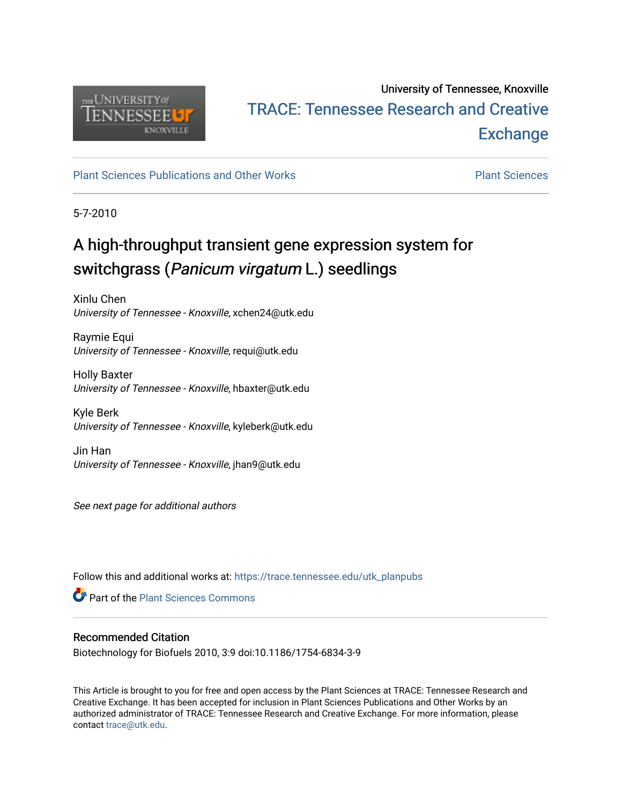

## University of Tennessee, Knoxville TRACE: T[ennessee Research and Cr](https://trace.tennessee.edu/)eative **Exchange**

## [Plant Sciences Publications and Other Works](https://trace.tennessee.edu/utk_planpubs) **Plant Sciences** Plant Sciences

5-7-2010

# A high-throughput transient gene expression system for switchgrass (Panicum virgatum L.) seedlings

Xinlu Chen University of Tennessee - Knoxville, xchen24@utk.edu

Raymie Equi University of Tennessee - Knoxville, requi@utk.edu

Holly Baxter University of Tennessee - Knoxville, hbaxter@utk.edu

Kyle Berk University of Tennessee - Knoxville, kyleberk@utk.edu

Jin Han University of Tennessee - Knoxville, jhan9@utk.edu

See next page for additional authors

Follow this and additional works at: [https://trace.tennessee.edu/utk\\_planpubs](https://trace.tennessee.edu/utk_planpubs?utm_source=trace.tennessee.edu%2Futk_planpubs%2F58&utm_medium=PDF&utm_campaign=PDFCoverPages) 

**C** Part of the [Plant Sciences Commons](https://network.bepress.com/hgg/discipline/102?utm_source=trace.tennessee.edu%2Futk_planpubs%2F58&utm_medium=PDF&utm_campaign=PDFCoverPages)

## Recommended Citation

Biotechnology for Biofuels 2010, 3:9 doi:10.1186/1754-6834-3-9

This Article is brought to you for free and open access by the Plant Sciences at TRACE: Tennessee Research and Creative Exchange. It has been accepted for inclusion in Plant Sciences Publications and Other Works by an authorized administrator of TRACE: Tennessee Research and Creative Exchange. For more information, please contact [trace@utk.edu](mailto:trace@utk.edu).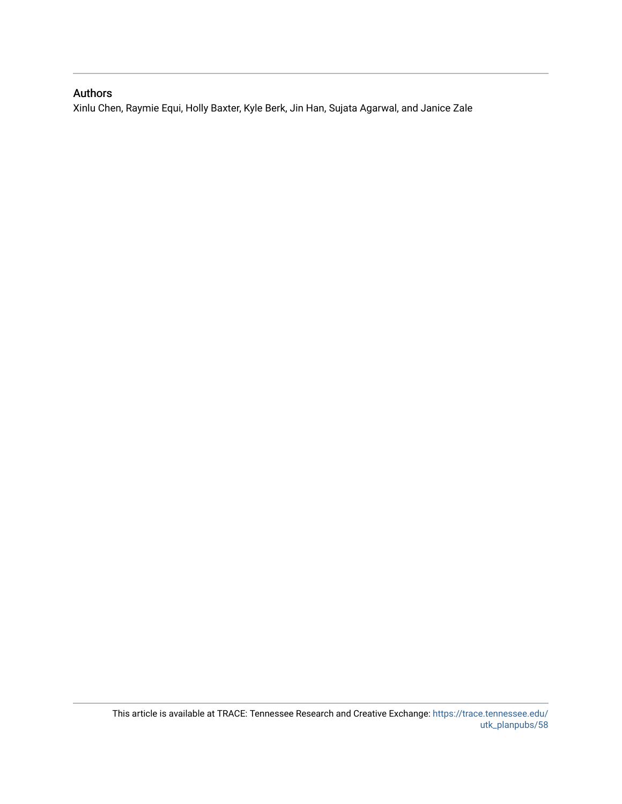## Authors

Xinlu Chen, Raymie Equi, Holly Baxter, Kyle Berk, Jin Han, Sujata Agarwal, and Janice Zale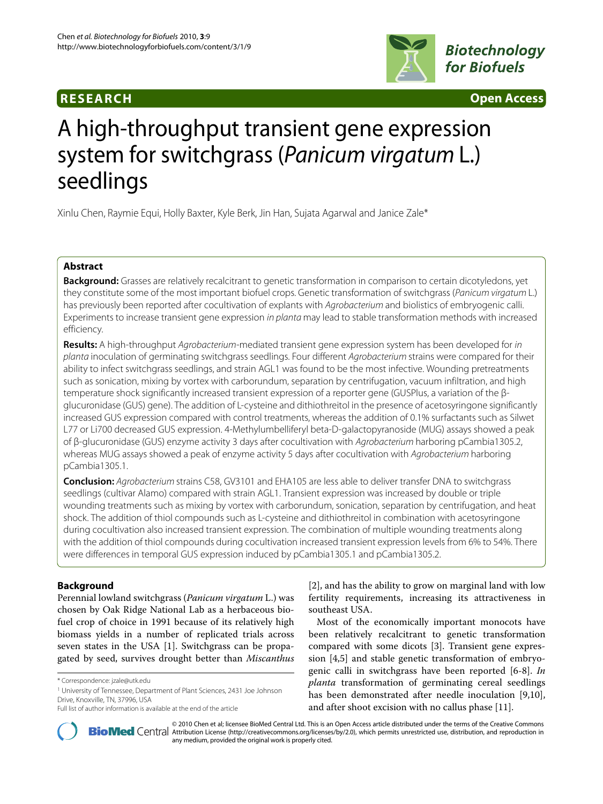## **RESEARCH Open Access**



# A high-throughput transient gene expression system for switchgrass (Panicum virgatum L.) seedlings

Xinlu Chen, Raymie Equi, Holly Baxter, Kyle Berk, Jin Han, Sujata Agarwal and Janice Zale\*

### **Abstract**

**Background:** Grasses are relatively recalcitrant to genetic transformation in comparison to certain dicotyledons, yet they constitute some of the most important biofuel crops. Genetic transformation of switchgrass (Panicum virgatum L.) has previously been reported after cocultivation of explants with Agrobacterium and biolistics of embryogenic calli. Experiments to increase transient gene expression in planta may lead to stable transformation methods with increased efficiency.

**Results:** A high-throughput Agrobacterium-mediated transient gene expression system has been developed for in planta inoculation of germinating switchgrass seedlings. Four different Agrobacterium strains were compared for their ability to infect switchgrass seedlings, and strain AGL1 was found to be the most infective. Wounding pretreatments such as sonication, mixing by vortex with carborundum, separation by centrifugation, vacuum infiltration, and high temperature shock significantly increased transient expression of a reporter gene (GUSPlus, a variation of the βglucuronidase (GUS) gene). The addition of L-cysteine and dithiothreitol in the presence of acetosyringone significantly increased GUS expression compared with control treatments, whereas the addition of 0.1% surfactants such as Silwet L77 or Li700 decreased GUS expression. 4-Methylumbelliferyl beta-D-galactopyranoside (MUG) assays showed a peak of β-glucuronidase (GUS) enzyme activity 3 days after cocultivation with Agrobacterium harboring pCambia1305.2, whereas MUG assays showed a peak of enzyme activity 5 days after cocultivation with Agrobacterium harboring pCambia1305.1.

**Conclusion:** Agrobacterium strains C58, GV3101 and EHA105 are less able to deliver transfer DNA to switchgrass seedlings (cultivar Alamo) compared with strain AGL1. Transient expression was increased by double or triple wounding treatments such as mixing by vortex with carborundum, sonication, separation by centrifugation, and heat shock. The addition of thiol compounds such as L-cysteine and dithiothreitol in combination with acetosyringone during cocultivation also increased transient expression. The combination of multiple wounding treatments along with the addition of thiol compounds during cocultivation increased transient expression levels from 6% to 54%. There were differences in temporal GUS expression induced by pCambia1305.1 and pCambia1305.2.

## **Background**

Perennial lowland switchgrass (*Panicum virgatum* L.) was chosen by Oak Ridge National Lab as a herbaceous biofuel crop of choice in 1991 because of its relatively high biomass yields in a number of replicated trials across seven states in the USA [[1\]](#page-11-0). Switchgrass can be propagated by seed, survives drought better than *Miscanthus*

1 University of Tennessee, Department of Plant Sciences, 2431 Joe Johnson Drive, Knoxville, TN, 37996, USA

[[2\]](#page-11-1), and has the ability to grow on marginal land with low fertility requirements, increasing its attractiveness in southeast USA.

Most of the economically important monocots have been relatively recalcitrant to genetic transformation compared with some dicots [[3\]](#page-11-2). Transient gene expression [[4](#page-11-3),[5\]](#page-11-4) and stable genetic transformation of embryogenic calli in switchgrass have been reported [[6](#page-11-5)[-8](#page-11-6)]. *In planta* transformation of germinating cereal seedlings has been demonstrated after needle inoculation [\[9](#page-11-7)[,10](#page-11-8)], and after shoot excision with no callus phase [\[11\]](#page-11-9).



2010 Chen et al; licensee [BioMed](http://www.biomedcentral.com/) Central Ltd. This is an Open Access article distributed under the terms of the Creative Commons (http://creativecommons.org/licenses/by/2.0), which permits unrestricted use, distribution, a any medium, provided the original work is properly cited.

<sup>\*</sup> Correspondence: jzale@utk.edu

Full list of author information is available at the end of the article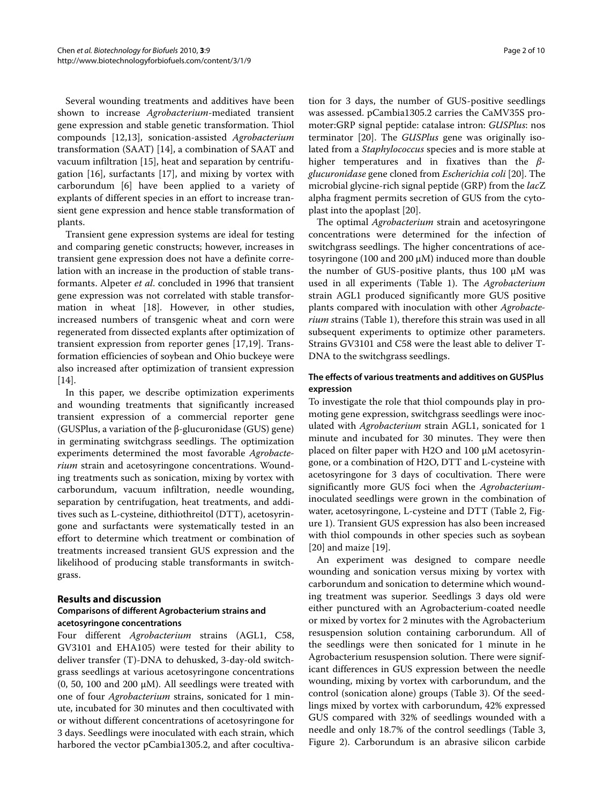Several wounding treatments and additives have been shown to increase *Agrobacterium*-mediated transient gene expression and stable genetic transformation. Thiol compounds [[12](#page-11-10),[13](#page-11-11)], sonication-assisted *Agrobacterium* transformation (SAAT) [[14\]](#page-11-12), a combination of SAAT and vacuum infiltration [[15](#page-11-13)], heat and separation by centrifugation [[16\]](#page-11-14), surfactants [[17\]](#page-11-15), and mixing by vortex with carborundum [[6\]](#page-11-5) have been applied to a variety of explants of different species in an effort to increase transient gene expression and hence stable transformation of plants.

Transient gene expression systems are ideal for testing and comparing genetic constructs; however, increases in transient gene expression does not have a definite correlation with an increase in the production of stable transformants. Alpeter *et al*. concluded in 1996 that transient gene expression was not correlated with stable transformation in wheat [[18\]](#page-11-16). However, in other studies, increased numbers of transgenic wheat and corn were regenerated from dissected explants after optimization of transient expression from reporter genes [[17,](#page-11-15)[19\]](#page-11-17). Transformation efficiencies of soybean and Ohio buckeye were also increased after optimization of transient expression  $[14]$  $[14]$ .

In this paper, we describe optimization experiments and wounding treatments that significantly increased transient expression of a commercial reporter gene (GUSPlus, a variation of the β-glucuronidase (GUS) gene) in germinating switchgrass seedlings. The optimization experiments determined the most favorable *Agrobacterium* strain and acetosyringone concentrations. Wounding treatments such as sonication, mixing by vortex with carborundum, vacuum infiltration, needle wounding, separation by centrifugation, heat treatments, and additives such as L-cysteine, dithiothreitol (DTT), acetosyringone and surfactants were systematically tested in an effort to determine which treatment or combination of treatments increased transient GUS expression and the likelihood of producing stable transformants in switchgrass.

#### **Results and discussion**

#### **Comparisons of different Agrobacterium strains and acetosyringone concentrations**

Four different *Agrobacterium* strains (AGL1, C58, GV3101 and EHA105) were tested for their ability to deliver transfer (T)-DNA to dehusked, 3-day-old switchgrass seedlings at various acetosyringone concentrations (0, 50, 100 and 200  $\mu$ M). All seedlings were treated with one of four *Agrobacterium* strains, sonicated for 1 minute, incubated for 30 minutes and then cocultivated with or without different concentrations of acetosyringone for 3 days. Seedlings were inoculated with each strain, which harbored the vector pCambia1305.2, and after cocultiva-

tion for 3 days, the number of GUS-positive seedlings was assessed. pCambia1305.2 carries the CaMV35S promoter:GRP signal peptide: catalase intron: *GUSPlus*: nos terminator [\[20](#page-11-18)]. The *GUSPlus* gene was originally isolated from a *Staphylococcus* species and is more stable at higher temperatures and in fixatives than the *βglucuronidase* gene cloned from *Escherichia coli* [[20\]](#page-11-18). The microbial glycine-rich signal peptide (GRP) from the *lac*Z alpha fragment permits secretion of GUS from the cytoplast into the apoplast [\[20](#page-11-18)].

The optimal *Agrobacterium* strain and acetosyringone concentrations were determined for the infection of switchgrass seedlings. The higher concentrations of acetosyringone (100 and 200 μM) induced more than double the number of GUS-positive plants, thus 100 μM was used in all experiments (Table 1). The *Agrobacterium* strain AGL1 produced significantly more GUS positive plants compared with inoculation with other *Agrobacterium s*trains (Table 1), therefore this strain was used in all subsequent experiments to optimize other parameters. Strains GV3101 and C58 were the least able to deliver T-DNA to the switchgrass seedlings.

#### **The effects of various treatments and additives on GUSPlus expression**

To investigate the role that thiol compounds play in promoting gene expression, switchgrass seedlings were inoculated with *Agrobacterium* strain AGL1, sonicated for 1 minute and incubated for 30 minutes. They were then placed on filter paper with H2O and 100 μM acetosyringone, or a combination of H2O, DTT and L-cysteine with acetosyringone for 3 days of cocultivation. There were significantly more GUS foci when the *Agrobacterium*inoculated seedlings were grown in the combination of water, acetosyringone, L-cysteine and DTT (Table 2, Figure [1\)](#page-5-0). Transient GUS expression has also been increased with thiol compounds in other species such as soybean [[20\]](#page-11-18) and maize [\[19](#page-11-17)].

An experiment was designed to compare needle wounding and sonication versus mixing by vortex with carborundum and sonication to determine which wounding treatment was superior. Seedlings 3 days old were either punctured with an Agrobacterium-coated needle or mixed by vortex for 2 minutes with the Agrobacterium resuspension solution containing carborundum. All of the seedlings were then sonicated for 1 minute in he Agrobacterium resuspension solution. There were significant differences in GUS expression between the needle wounding, mixing by vortex with carborundum, and the control (sonication alone) groups (Table 3). Of the seedlings mixed by vortex with carborundum, 42% expressed GUS compared with 32% of seedlings wounded with a needle and only 18.7% of the control seedlings (Table [3](#page-5-1), Figure [2](#page-5-2)). Carborundum is an abrasive silicon carbide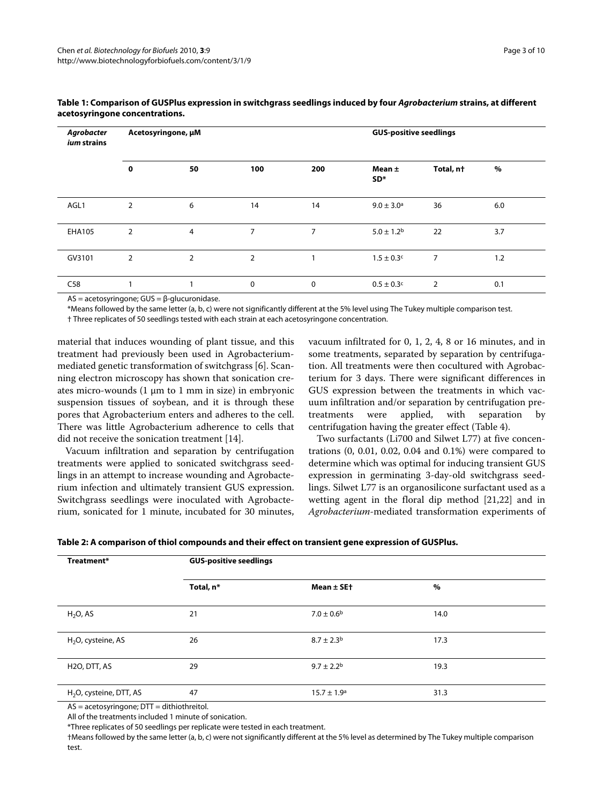| Agrobacter<br><i>ium</i> strains | Acetosyringone, µM |                |     |             |                               | <b>GUS-positive seedlings</b> |     |  |
|----------------------------------|--------------------|----------------|-----|-------------|-------------------------------|-------------------------------|-----|--|
|                                  | 0                  | 50             | 100 | 200         | Mean $\pm$<br>SD <sup>*</sup> | Total, nt                     | %   |  |
| AGL1                             | 2                  | 6              | 14  | 14          | $9.0 \pm 3.0^{\rm a}$         | 36                            | 6.0 |  |
| <b>EHA105</b>                    | $\overline{2}$     | $\overline{4}$ | 7   | 7           | $5.0 \pm 1.2^b$               | 22                            | 3.7 |  |
| GV3101                           | $\overline{2}$     | $\overline{2}$ | 2   |             | $1.5 \pm 0.3$ c               | $\overline{7}$                | 1.2 |  |
| C58                              |                    |                | 0   | $\mathbf 0$ | $0.5 \pm 0.3$ c               | 2                             | 0.1 |  |

#### **Table 1: Comparison of GUSPlus expression in switchgrass seedlings induced by four Agrobacterium strains, at different acetosyringone concentrations.**

AS = acetosyringone; GUS = β-glucuronidase.

\*Means followed by the same letter (a, b, c) were not significantly different at the 5% level using The Tukey multiple comparison test.

† Three replicates of 50 seedlings tested with each strain at each acetosyringone concentration.

material that induces wounding of plant tissue, and this treatment had previously been used in Agrobacteriummediated genetic transformation of switchgrass [[6\]](#page-11-5). Scanning electron microscopy has shown that sonication creates micro-wounds (1 μm to 1 mm in size) in embryonic suspension tissues of soybean, and it is through these pores that Agrobacterium enters and adheres to the cell. There was little Agrobacterium adherence to cells that did not receive the sonication treatment [\[14](#page-11-12)].

Vacuum infiltration and separation by centrifugation treatments were applied to sonicated switchgrass seedlings in an attempt to increase wounding and Agrobacterium infection and ultimately transient GUS expression. Switchgrass seedlings were inoculated with Agrobacterium, sonicated for 1 minute, incubated for 30 minutes, vacuum infiltrated for 0, 1, 2, 4, 8 or 16 minutes, and in some treatments, separated by separation by centrifugation. All treatments were then cocultured with Agrobacterium for 3 days. There were significant differences in GUS expression between the treatments in which vacuum infiltration and/or separation by centrifugation pretreatments were applied, with separation by centrifugation having the greater effect (Table 4).

Two surfactants (Li700 and Silwet L77) at five concentrations (0, 0.01, 0.02, 0.04 and 0.1%) were compared to determine which was optimal for inducing transient GUS expression in germinating 3-day-old switchgrass seedlings. Silwet L77 is an organosilicone surfactant used as a wetting agent in the floral dip method [[21,](#page-11-19)[22\]](#page-11-20) and in *Agrobacterium-*mediated transformation experiments of

| Table 2: A comparison of thiol compounds and their effect on transient gene expression of GUSPlus. |  |  |
|----------------------------------------------------------------------------------------------------|--|--|
|                                                                                                    |  |  |

| Treatment*                | <b>GUS-positive seedlings</b> |                            |      |  |
|---------------------------|-------------------------------|----------------------------|------|--|
|                           | Total, n*                     | Mean $\pm$ SE+             | $\%$ |  |
| $H2O$ , AS                | 21                            | $7.0 \pm 0.6$ <sup>b</sup> | 14.0 |  |
| $H_2O$ , cysteine, AS     | 26                            | $8.7 \pm 2.3^{\rm b}$      | 17.3 |  |
| H <sub>2</sub> O, DTT, AS | 29                            | $9.7 \pm 2.2^{\rm b}$      | 19.3 |  |
| $H2O$ , cysteine, DTT, AS | 47                            | $15.7 \pm 1.9^{\circ}$     | 31.3 |  |

AS = acetosyringone; DTT = dithiothreitol.

All of the treatments included 1 minute of sonication.

\*Three replicates of 50 seedlings per replicate were tested in each treatment.

†Means followed by the same letter (a, b, c) were not significantly different at the 5% level as determined by The Tukey multiple comparison test.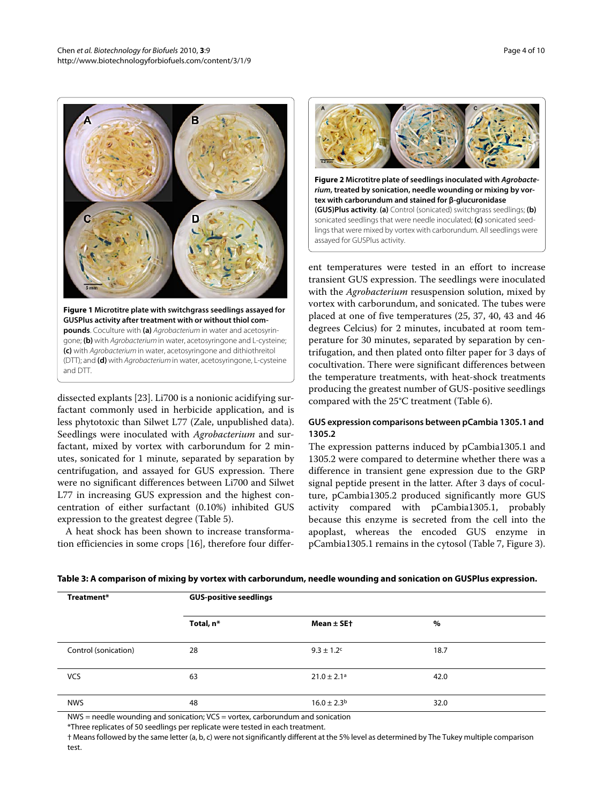<span id="page-5-0"></span>

**Figure 1 Microtitre plate with switchgrass seedlings assayed for GUSPlus activity after treatment with or without thiol compounds**. Coculture with **(a)** Agrobacterium in water and acetosyringone; **(b)** with Agrobacterium in water, acetosyringone and L-cysteine; **(c)** with Agrobacterium in water, acetosyringone and dithiothreitol (DTT); and **(d)** with Agrobacterium in water, acetosyringone, L-cysteine and DTT.

dissected explants [[23\]](#page-11-21). Li700 is a nonionic acidifying surfactant commonly used in herbicide application, and is less phytotoxic than Silwet L77 (Zale, unpublished data). Seedlings were inoculated with *Agrobacterium* and surfactant, mixed by vortex with carborundum for 2 minutes, sonicated for 1 minute, separated by separation by centrifugation, and assayed for GUS expression. There were no significant differences between Li700 and Silwet L77 in increasing GUS expression and the highest concentration of either surfactant (0.10%) inhibited GUS expression to the greatest degree (Table 5).

A heat shock has been shown to increase transformation efficiencies in some crops [[16](#page-11-14)], therefore four differ-

<span id="page-5-2"></span>

**Figure 2 Microtitre plate of seedlings inoculated with Agrobacterium, treated by sonication, needle wounding or mixing by vortex with carborundum and stained for β-glucuronidase (GUS)Plus activity**. **(a)** Control (sonicated) switchgrass seedlings; **(b)**  sonicated seedlings that were needle inoculated; **(c)** sonicated seedlings that were mixed by vortex with carborundum. All seedlings were assayed for GUSPlus activity.

ent temperatures were tested in an effort to increase transient GUS expression. The seedlings were inoculated with the *Agrobacterium* resuspension solution, mixed by vortex with carborundum, and sonicated. The tubes were placed at one of five temperatures (25, 37, 40, 43 and 46 degrees Celcius) for 2 minutes, incubated at room temperature for 30 minutes, separated by separation by centrifugation, and then plated onto filter paper for 3 days of cocultivation. There were significant differences between the temperature treatments, with heat-shock treatments producing the greatest number of GUS-positive seedlings compared with the 25°C treatment (Table 6).

#### **GUS expression comparisons between pCambia 1305.1 and 1305.2**

The expression patterns induced by pCambia1305.1 and 1305.2 were compared to determine whether there was a difference in transient gene expression due to the GRP signal peptide present in the latter. After 3 days of coculture, pCambia1305.2 produced significantly more GUS activity compared with pCambia1305.1, probably because this enzyme is secreted from the cell into the apoplast, whereas the encoded GUS enzyme in pCambia1305.1 remains in the cytosol (Table 7, Figure [3](#page-8-0)).

| Treatment*           | <b>GUS-positive seedlings</b> |                             |      |  |
|----------------------|-------------------------------|-----------------------------|------|--|
|                      | Total, n*                     | Mean $\pm$ SE+              | %    |  |
| Control (sonication) | 28                            | $9.3 \pm 1.2$ c             | 18.7 |  |
| <b>VCS</b>           | 63                            | $21.0 \pm 2.1$ <sup>a</sup> | 42.0 |  |
| <b>NWS</b>           | 48                            | $16.0 \pm 2.3^{\rm b}$      | 32.0 |  |

<span id="page-5-1"></span>**Table 3: A comparison of mixing by vortex with carborundum, needle wounding and sonication on GUSPlus expression.**

NWS = needle wounding and sonication; VCS = vortex, carborundum and sonication

\*Three replicates of 50 seedlings per replicate were tested in each treatment.

† Means followed by the same letter (a, b, c) were not significantly different at the 5% level as determined by The Tukey multiple comparison test.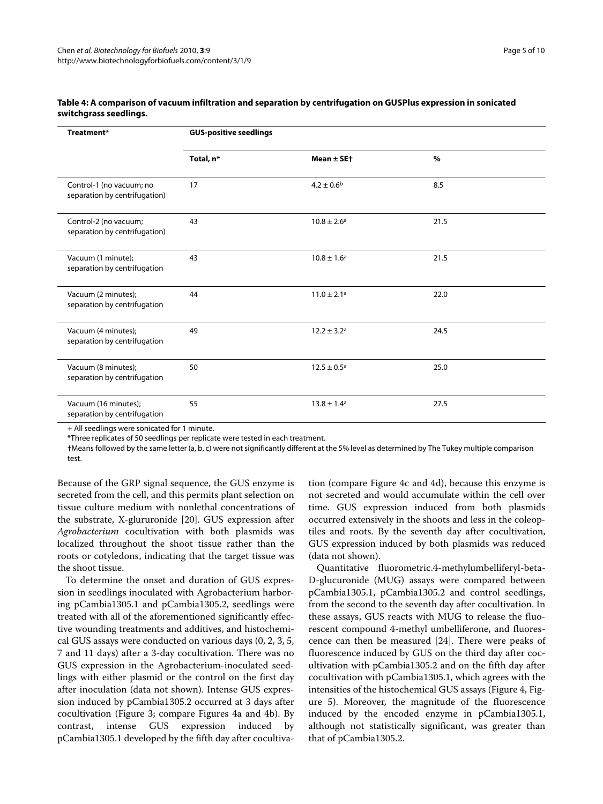| Treatment*                                                | <b>GUS-positive seedlings</b> |                             |      |  |
|-----------------------------------------------------------|-------------------------------|-----------------------------|------|--|
|                                                           | Total, n*                     | Mean $\pm$ SE+              | $\%$ |  |
| Control-1 (no vacuum; no<br>separation by centrifugation) | 17                            | $4.2 \pm 0.6^{\rm b}$       | 8.5  |  |
| Control-2 (no vacuum;<br>separation by centrifugation)    | 43                            | $10.8 \pm 2.6^{\circ}$      | 21.5 |  |
| Vacuum (1 minute);<br>separation by centrifugation        | 43                            | $10.8 \pm 1.6^{\rm a}$      | 21.5 |  |
| Vacuum (2 minutes);<br>separation by centrifugation       | 44                            | $11.0 \pm 2.1a$             | 22.0 |  |
| Vacuum (4 minutes);<br>separation by centrifugation       | 49                            | $12.2 \pm 3.2$ <sup>a</sup> | 24.5 |  |
| Vacuum (8 minutes);<br>separation by centrifugation       | 50                            | $12.5 \pm 0.5^{\circ}$      | 25.0 |  |
| Vacuum (16 minutes);<br>separation by centrifugation      | 55                            | $13.8 \pm 1.4^a$            | 27.5 |  |

#### **Table 4: A comparison of vacuum infiltration and separation by centrifugation on GUSPlus expression in sonicated switchgrass seedlings.**

+ All seedlings were sonicated for 1 minute.

\*Three replicates of 50 seedlings per replicate were tested in each treatment.

†Means followed by the same letter (a, b, c) were not significantly different at the 5% level as determined by The Tukey multiple comparison test.

Because of the GRP signal sequence, the GUS enzyme is secreted from the cell, and this permits plant selection on tissue culture medium with nonlethal concentrations of the substrate, X-glururonide [\[20\]](#page-11-18). GUS expression after *Agrobacterium* cocultivation with both plasmids was localized throughout the shoot tissue rather than the roots or cotyledons, indicating that the target tissue was the shoot tissue.

To determine the onset and duration of GUS expression in seedlings inoculated with Agrobacterium harboring pCambia1305.1 and pCambia1305.2, seedlings were treated with all of the aforementioned significantly effective wounding treatments and additives, and histochemical GUS assays were conducted on various days (0, 2, 3, 5, 7 and 11 days) after a 3-day cocultivation. There was no GUS expression in the Agrobacterium-inoculated seedlings with either plasmid or the control on the first day after inoculation (data not shown). Intense GUS expression induced by pCambia1305.2 occurred at 3 days after cocultivation (Figure [3](#page-8-0); compare Figures [4](#page-8-1)a and [4](#page-8-1)b). By contrast, intense GUS expression induced by pCambia1305.1 developed by the fifth day after cocultivation (compare Figure [4c](#page-8-1) and [4](#page-8-1)d), because this enzyme is not secreted and would accumulate within the cell over time. GUS expression induced from both plasmids occurred extensively in the shoots and less in the coleoptiles and roots. By the seventh day after cocultivation, GUS expression induced by both plasmids was reduced (data not shown).

Quantitative fluorometric.4-methylumbelliferyl-beta-D-glucuronide (MUG) assays were compared between pCambia1305.1, pCambia1305.2 and control seedlings, from the second to the seventh day after cocultivation. In these assays, GUS reacts with MUG to release the fluorescent compound 4-methyl umbelliferone, and fluorescence can then be measured [[24\]](#page-11-22). There were peaks of fluorescence induced by GUS on the third day after cocultivation with pCambia1305.2 and on the fifth day after cocultivation with pCambia1305.1, which agrees with the intensities of the histochemical GUS assays (Figure [4](#page-8-1), Figure [5\)](#page-9-0). Moreover, the magnitude of the fluorescence induced by the encoded enzyme in pCambia1305.1, although not statistically significant, was greater than that of pCambia1305.2.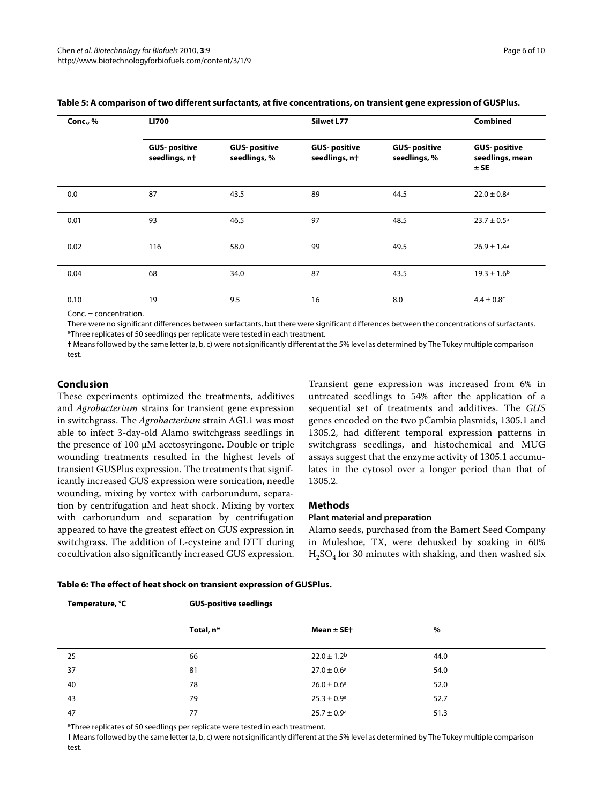| <b>Conc., %</b> | <b>LI700</b>                         |                                     | Silwet L77                           |                                     |                                                  |
|-----------------|--------------------------------------|-------------------------------------|--------------------------------------|-------------------------------------|--------------------------------------------------|
|                 | <b>GUS-positive</b><br>seedlings, nt | <b>GUS-positive</b><br>seedlings, % | <b>GUS-positive</b><br>seedlings, nt | <b>GUS-positive</b><br>seedlings, % | <b>GUS-positive</b><br>seedlings, mean<br>$±$ SE |
| 0.0             | 87                                   | 43.5                                | 89                                   | 44.5                                | $22.0 \pm 0.8$ <sup>a</sup>                      |
| 0.01            | 93                                   | 46.5                                | 97                                   | 48.5                                | $23.7 \pm 0.5^{\text{a}}$                        |
| 0.02            | 116                                  | 58.0                                | 99                                   | 49.5                                | $26.9 \pm 1.4$ <sup>a</sup>                      |
| 0.04            | 68                                   | 34.0                                | 87                                   | 43.5                                | $19.3 \pm 1.6^{\rm b}$                           |
| 0.10            | 19                                   | 9.5                                 | 16                                   | 8.0                                 | $4.4 \pm 0.8$ c                                  |

#### **Table 5: A comparison of two different surfactants, at five concentrations, on transient gene expression of GUSPlus.**

Conc. = concentration.

There were no significant differences between surfactants, but there were significant differences between the concentrations of surfactants. \*Three replicates of 50 seedlings per replicate were tested in each treatment.

† Means followed by the same letter (a, b, c) were not significantly different at the 5% level as determined by The Tukey multiple comparison test

#### **Conclusion**

These experiments optimized the treatments, additives and *Agrobacterium* strains for transient gene expression in switchgrass. The *Agrobacterium* strain AGL1 was most able to infect 3-day-old Alamo switchgrass seedlings in the presence of 100 μM acetosyringone. Double or triple wounding treatments resulted in the highest levels of transient GUSPlus expression. The treatments that significantly increased GUS expression were sonication, needle wounding, mixing by vortex with carborundum, separation by centrifugation and heat shock. Mixing by vortex with carborundum and separation by centrifugation appeared to have the greatest effect on GUS expression in switchgrass. The addition of L-cysteine and DTT during cocultivation also significantly increased GUS expression.

Transient gene expression was increased from 6% in untreated seedlings to 54% after the application of a sequential set of treatments and additives. The *GUS* genes encoded on the two pCambia plasmids, 1305.1 and 1305.2, had different temporal expression patterns in switchgrass seedlings, and histochemical and MUG assays suggest that the enzyme activity of 1305.1 accumulates in the cytosol over a longer period than that of 1305.2.

#### **Methods**

#### **Plant material and preparation**

Alamo seeds, purchased from the Bamert Seed Company in Muleshoe, TX, were dehusked by soaking in 60%  $H<sub>3</sub>SO<sub>4</sub>$  for 30 minutes with shaking, and then washed six

| Temperature, °C | <b>GUS-positive seedlings</b> |                        |      |  |
|-----------------|-------------------------------|------------------------|------|--|
|                 | Total, n*                     | Mean $\pm$ SE+         | %    |  |
| 25              | 66                            | $22.0 \pm 1.2^{\rm b}$ | 44.0 |  |
| 37              | 81                            | $27.0 \pm 0.6^{\circ}$ | 54.0 |  |
| 40              | 78                            | $26.0 \pm 0.6^a$       | 52.0 |  |
| 43              | 79                            | $25.3 \pm 0.9^{\rm a}$ | 52.7 |  |
| 47              | 77                            | $25.7 \pm 0.9^{\circ}$ | 51.3 |  |

#### **Table 6: The effect of heat shock on transient expression of GUSPlus.**

\*Three replicates of 50 seedlings per replicate were tested in each treatment.

† Means followed by the same letter (a, b, c) were not significantly different at the 5% level as determined by The Tukey multiple comparison test.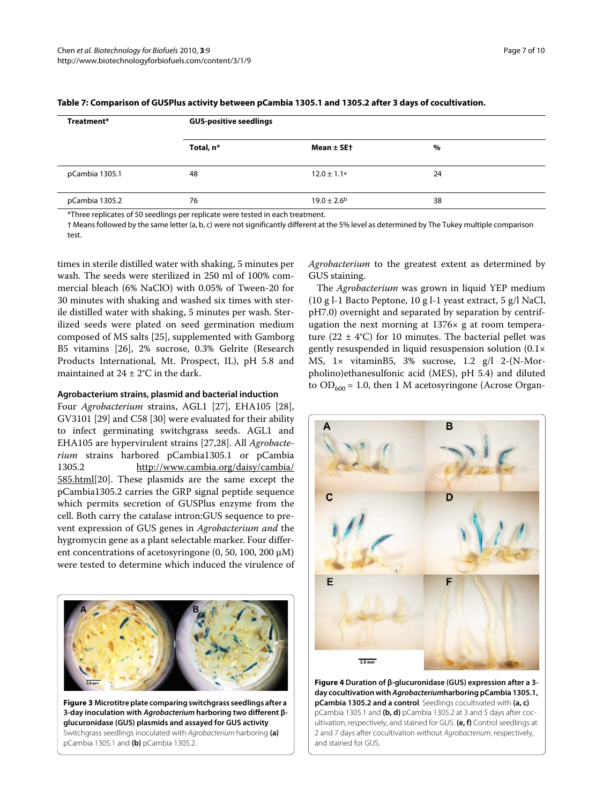| Treatment*     | <b>GUS-positive seedlings</b> |                        |    |  |
|----------------|-------------------------------|------------------------|----|--|
|                | Total, n*                     | Mean $\pm$ SE†         | %  |  |
| pCambia 1305.1 | 48                            | $12.0 \pm 1.1^a$       | 24 |  |
| pCambia 1305.2 | 76                            | $19.0 \pm 2.6^{\rm b}$ | 38 |  |

| Table 7: Comparison of GUSPlus activity between pCambia 1305.1 and 1305.2 after 3 days of cocultivation. |  |  |
|----------------------------------------------------------------------------------------------------------|--|--|
|----------------------------------------------------------------------------------------------------------|--|--|

\*Three replicates of 50 seedlings per replicate were tested in each treatment.

† Means followed by the same letter (a, b, c) were not significantly different at the 5% level as determined by The Tukey multiple comparison test.

times in sterile distilled water with shaking, 5 minutes per wash. The seeds were sterilized in 250 ml of 100% commercial bleach (6% NaClO) with 0.05% of Tween-20 for 30 minutes with shaking and washed six times with sterile distilled water with shaking, 5 minutes per wash. Sterilized seeds were plated on seed germination medium composed of MS salts [[25](#page-11-23)], supplemented with Gamborg B5 vitamins [\[26](#page-11-24)], 2% sucrose, 0.3% Gelrite (Research Products International, Mt. Prospect, IL), pH 5.8 and maintained at  $24 \pm 2$ °C in the dark.

#### **Agrobacterium strains, plasmid and bacterial induction**

Four *Agrobacterium* strains, AGL1 [\[27](#page-11-25)], EHA105 [\[28](#page-11-26)], GV3101 [\[29\]](#page-11-27) and C58 [\[30\]](#page-11-28) were evaluated for their ability to infect germinating switchgrass seeds. AGL1 and EHA105 are hypervirulent strains [\[27](#page-11-25),[28](#page-11-26)]. All *Agrobacterium* strains harbored pCambia1305.1 or pCambia 1305.2 [http://www.cambia.org/daisy/cambia/](http://www.cambia.org/daisy/cambia/585.html) [585.html](http://www.cambia.org/daisy/cambia/585.html)[\[20](#page-11-18)]. These plasmids are the same except the pCambia1305.2 carries the GRP signal peptide sequence which permits secretion of GUSPlus enzyme from the cell. Both carry the catalase intron:GUS sequence to prevent expression of GUS genes in *Agrobacterium and* the hygromycin gene as a plant selectable marker. Four different concentrations of acetosyringone (0, 50, 100, 200 μM) were tested to determine which induced the virulence of

<span id="page-8-0"></span>

**Figure 3 Microtitre plate comparing switchgrass seedlings after a 3-day inoculation with Agrobacterium harboring two different βglucuronidase (GUS) plasmids and assayed for GUS activity**. Switchgrass seedlings inoculated with Agrobacterium harboring **(a)**  pCambia 1305.1 and **(b)** pCambia 1305.2.

*Agrobacterium* to the greatest extent as determined by GUS staining.

The *Agrobacterium* was grown in liquid YEP medium (10 g l-1 Bacto Peptone, 10 g l-1 yeast extract, 5 g/l NaCl, pH7.0) overnight and separated by separation by centrifugation the next morning at 1376× g at room temperature (22  $\pm$  4°C) for 10 minutes. The bacterial pellet was gently resuspended in liquid resuspension solution (0.1× MS, 1× vitaminB5, 3% sucrose, 1.2 g/l 2-(N-Morpholino)ethanesulfonic acid (MES), pH 5.4) and diluted to  $OD_{600} = 1.0$ , then 1 M acetosyringone (Acrose Organ-

<span id="page-8-1"></span>

**Figure 4 Duration of β-glucuronidase (GUS) expression after a 3 day cocultivation with Agrobacteriumharboring pCambia 1305.1, pCambia 1305.2 and a control**. Seedlings cocultivated with **(a, c)**  pCambia 1305.1 and **(b, d)** pCambia 1305.2 at 3 and 5 days after cocultivation, respectively, and stained for GUS. **(e, f)** Control seedlings at 2 and 7 days after cocultivation without Agrobacterium, respectively, and stained for GUS.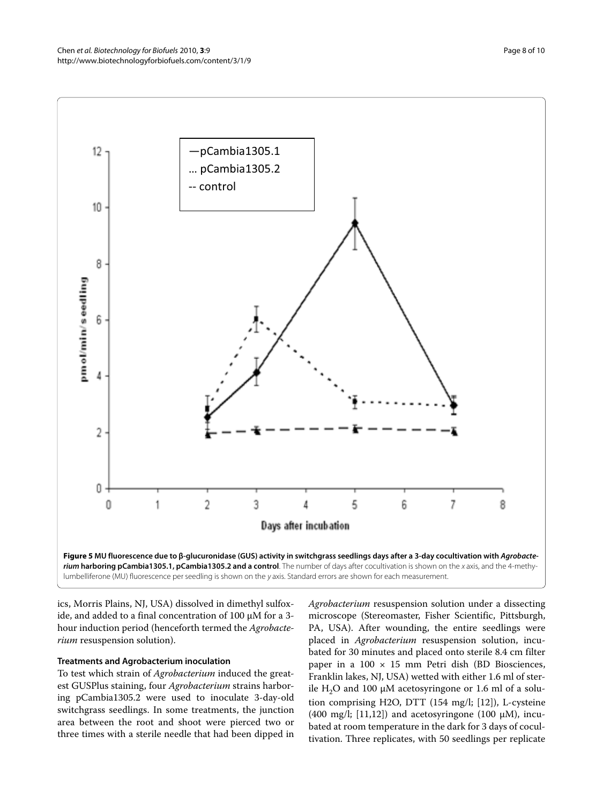<span id="page-9-0"></span>

ics, Morris Plains, NJ, USA) dissolved in dimethyl sulfoxide, and added to a final concentration of 100 μM for a 3 hour induction period (henceforth termed the *Agrobacterium* resuspension solution).

#### **Treatments and Agrobacterium inoculation**

To test which strain of *Agrobacterium* induced the greatest GUSPlus staining, four *Agrobacterium* strains harboring pCambia1305.2 were used to inoculate 3-day-old switchgrass seedlings. In some treatments, the junction area between the root and shoot were pierced two or three times with a sterile needle that had been dipped in *Agrobacterium* resuspension solution under a dissecting microscope (Stereomaster, Fisher Scientific, Pittsburgh, PA, USA). After wounding, the entire seedlings were placed in *Agrobacterium* resuspension solution, incubated for 30 minutes and placed onto sterile 8.4 cm filter paper in a  $100 \times 15$  mm Petri dish (BD Biosciences, Franklin lakes, NJ, USA) wetted with either 1.6 ml of sterile H<sub>2</sub>O and 100 μM acetosyringone or 1.6 ml of a solution comprising H2O, DTT (154 mg/l; [\[12](#page-11-10)]), L-cysteine (400 mg/l; [[11,](#page-11-9)[12\]](#page-11-10)) and acetosyringone (100  $\mu$ M), incubated at room temperature in the dark for 3 days of cocultivation. Three replicates, with 50 seedlings per replicate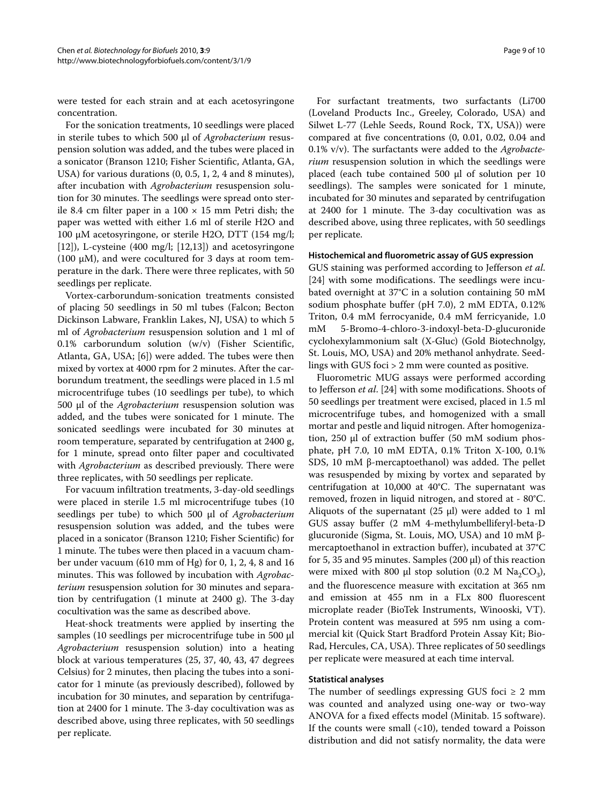were tested for each strain and at each acetosyringone concentration.

For the sonication treatments, 10 seedlings were placed in sterile tubes to which 500 μl of *Agrobacterium* resuspension solution was added, and the tubes were placed in a sonicator (Branson 1210; Fisher Scientific, Atlanta, GA, USA) for various durations (0, 0.5, 1, 2, 4 and 8 minutes), after incubation with *Agrobacterium* resuspension *s*olution for 30 minutes. The seedlings were spread onto sterile 8.4 cm filter paper in a  $100 \times 15$  mm Petri dish; the paper was wetted with either 1.6 ml of sterile H2O and 100 μM acetosyringone, or sterile H2O, DTT (154 mg/l; [[12\]](#page-11-10)), L-cysteine  $(400 \text{ mg/l}; [12,13])$  $(400 \text{ mg/l}; [12,13])$  $(400 \text{ mg/l}; [12,13])$  $(400 \text{ mg/l}; [12,13])$  and acetosyringone (100  $\mu$ M), and were cocultured for 3 days at room temperature in the dark. There were three replicates, with 50 seedlings per replicate.

Vortex-carborundum-sonication treatments consisted of placing 50 seedlings in 50 ml tubes (Falcon; Becton Dickinson Labware, Franklin Lakes, NJ, USA) to which 5 ml of *Agrobacterium* resuspension solution and 1 ml of 0.1% carborundum solution (w/v) (Fisher Scientific, Atlanta, GA, USA; [\[6\]](#page-11-5)) were added. The tubes were then mixed by vortex at 4000 rpm for 2 minutes. After the carborundum treatment, the seedlings were placed in 1.5 ml microcentrifuge tubes (10 seedlings per tube), to which 500 μl of the *Agrobacterium* resuspension solution was added, and the tubes were sonicated for 1 minute. The sonicated seedlings were incubated for 30 minutes at room temperature, separated by centrifugation at 2400 g, for 1 minute, spread onto filter paper and cocultivated with *Agrobacterium* as described previously. There were three replicates, with 50 seedlings per replicate.

For vacuum infiltration treatments, 3-day-old seedlings were placed in sterile 1.5 ml microcentrifuge tubes (10 seedlings per tube) to which 500 μl of *Agrobacterium* resuspension solution was added, and the tubes were placed in a sonicator (Branson 1210; Fisher Scientific) for 1 minute. The tubes were then placed in a vacuum chamber under vacuum (610 mm of Hg) for 0, 1, 2, 4, 8 and 16 minutes. This was followed by incubation with *Agrobacterium* resuspension *s*olution for 30 minutes and separation by centrifugation (1 minute at 2400 g). The 3-day cocultivation was the same as described above.

Heat-shock treatments were applied by inserting the samples (10 seedlings per microcentrifuge tube in 500 μl *Agrobacterium* resuspension solution) into a heating block at various temperatures (25, 37, 40, 43, 47 degrees Celsius) for 2 minutes, then placing the tubes into a sonicator for 1 minute (as previously described), followed by incubation for 30 minutes, and separation by centrifugation at 2400 for 1 minute. The 3-day cocultivation was as described above, using three replicates, with 50 seedlings per replicate.

For surfactant treatments, two surfactants (Li700 (Loveland Products Inc., Greeley, Colorado, USA) and Silwet L-77 (Lehle Seeds, Round Rock, TX, USA)) were compared at five concentrations (0, 0.01, 0.02, 0.04 and 0.1% v/v). The surfactants were added to the *Agrobacterium* resuspension solution in which the seedlings were placed (each tube contained 500 μl of solution per 10 seedlings). The samples were sonicated for 1 minute, incubated for 30 minutes and separated by centrifugation at 2400 for 1 minute. The 3-day cocultivation was as described above, using three replicates, with 50 seedlings per replicate.

#### **Histochemical and fluorometric assay of GUS expression**

GUS staining was performed according to Jefferson *et al*. [[24\]](#page-11-22) with some modifications. The seedlings were incubated overnight at 37°C in a solution containing 50 mM sodium phosphate buffer (pH 7.0), 2 mM EDTA, 0.12% Triton, 0.4 mM ferrocyanide, 0.4 mM ferricyanide, 1.0 mM 5-Bromo-4-chloro-3-indoxyl-beta-D-glucuronide cyclohexylammonium salt (X-Gluc) (Gold Biotechnolgy, St. Louis, MO, USA) and 20% methanol anhydrate. Seedlings with GUS foci > 2 mm were counted as positive.

Fluorometric MUG assays were performed according to Jefferson *et al*. [\[24](#page-11-22)] with some modifications. Shoots of 50 seedlings per treatment were excised, placed in 1.5 ml microcentrifuge tubes, and homogenized with a small mortar and pestle and liquid nitrogen. After homogenization, 250 μl of extraction buffer (50 mM sodium phosphate, pH 7.0, 10 mM EDTA, 0.1% Triton X-100, 0.1% SDS, 10 mM β-mercaptoethanol) was added. The pellet was resuspended by mixing by vortex and separated by centrifugation at 10,000 at 40°C. The supernatant was removed, frozen in liquid nitrogen, and stored at - 80°C. Aliquots of the supernatant (25 μl) were added to 1 ml GUS assay buffer (2 mM 4-methylumbelliferyl-beta-D glucuronide (Sigma, St. Louis, MO, USA) and 10 mM βmercaptoethanol in extraction buffer), incubated at 37°C for 5, 35 and 95 minutes. Samples (200 μl) of this reaction were mixed with 800 μl stop solution (0.2 M  $\text{Na}_2\text{CO}_3$ ), and the fluorescence measure with excitation at 365 nm and emission at 455 nm in a FLx 800 fluorescent microplate reader (BioTek Instruments, Winooski, VT). Protein content was measured at 595 nm using a commercial kit (Quick Start Bradford Protein Assay Kit; Bio-Rad, Hercules, CA, USA). Three replicates of 50 seedlings per replicate were measured at each time interval.

#### **Statistical analyses**

The number of seedlings expressing GUS foci  $\geq 2$  mm was counted and analyzed using one-way or two-way ANOVA for a fixed effects model (Minitab. 15 software). If the counts were small (<10), tended toward a Poisson distribution and did not satisfy normality, the data were